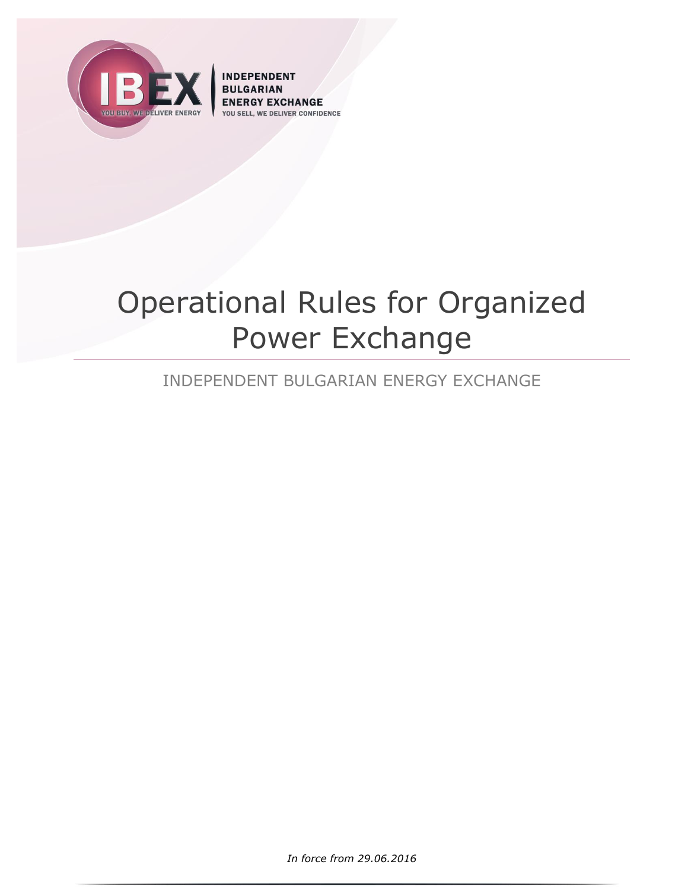

**INDEPENDENT BULGARIAN** Y EXCHANGE **IVER CONFIDENCE VOLLS** 

# Operational Rules for Organized Power Exchange

# INDEPENDENT BULGARIAN ENERGY EXCHANGE

*In force from 29.06.2016*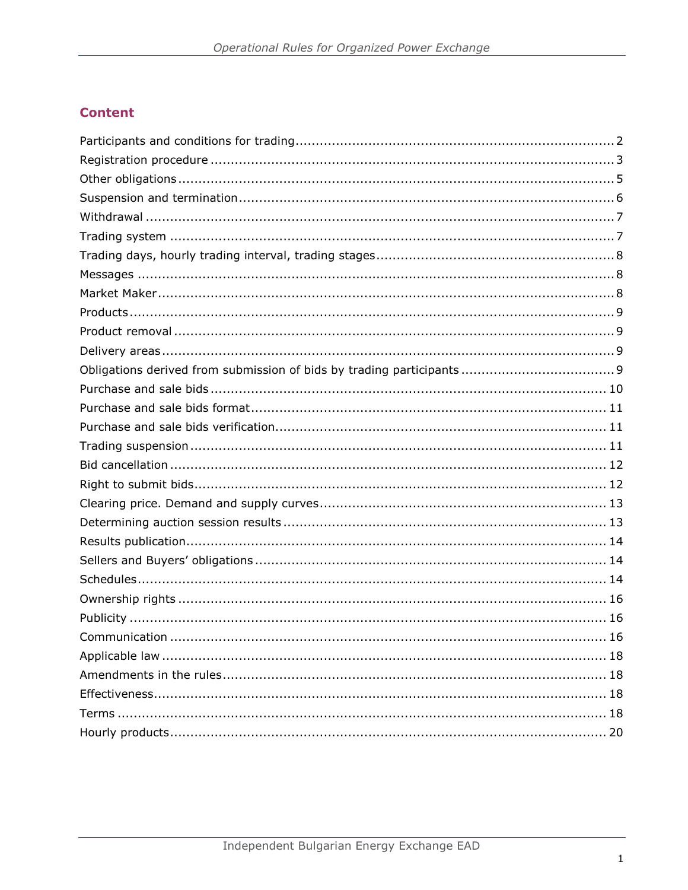# **Content**

| . 16 |
|------|
|      |
|      |
|      |
|      |
|      |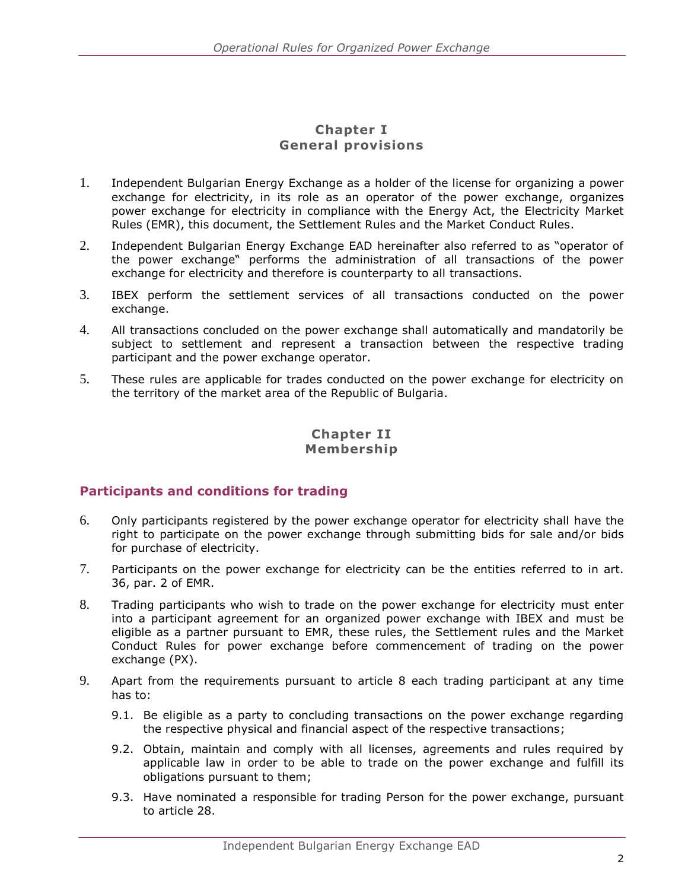#### **Chapter I General provisions**

- 1. Independent Bulgarian Energy Exchange as a holder of the license for organizing a power exchange for electricity, in its role as an operator of the power exchange, organizes power exchange for electricity in compliance with the Energy Act, the Electricity Market Rules (EMR), this document, the Settlement Rules and the Market Conduct Rules.
- 2. Independent Bulgarian Energy Exchange EAD hereinafter also referred to as "operator of the power exchange" performs the administration of all transactions of the power exchange for electricity and therefore is counterparty to all transactions.
- 3. IBEX perform the settlement services of all transactions conducted on the power exchange.
- 4. All transactions concluded on the power exchange shall automatically and mandatorily be subject to settlement and represent a transaction between the respective trading participant and the power exchange operator.
- 5. These rules are applicable for trades conducted on the power exchange for electricity on the territory of the market area of the Republic of Bulgaria.

# **Chapter II Membership**

# <span id="page-2-0"></span>**Participants and conditions for trading**

- 6. Only participants registered by the power exchange operator for electricity shall have the right to participate on the power exchange through submitting bids for sale and/or bids for purchase of electricity.
- 7. Participants on the power exchange for electricity can be the entities referred to in art. 36, par. 2 of EMR.
- 8. Trading participants who wish to trade on the power exchange for electricity must enter into a participant agreement for an organized power exchange with IBEX and must be eligible as a partner pursuant to EMR, these rules, the Settlement rules and the Market Conduct Rules for power exchange before commencement of trading on the power exchange (PX).
- 9. Apart from the requirements pursuant to article 8 each trading participant at any time has to:
	- 9.1. Be eligible as a party to concluding transactions on the power exchange regarding the respective physical and financial aspect of the respective transactions;
	- 9.2. Obtain, maintain and comply with all licenses, agreements and rules required by applicable law in order to be able to trade on the power exchange and fulfill its obligations pursuant to them;
	- 9.3. Have nominated a responsible for trading Person for the power exchange, pursuant to article [28.](#page-5-1)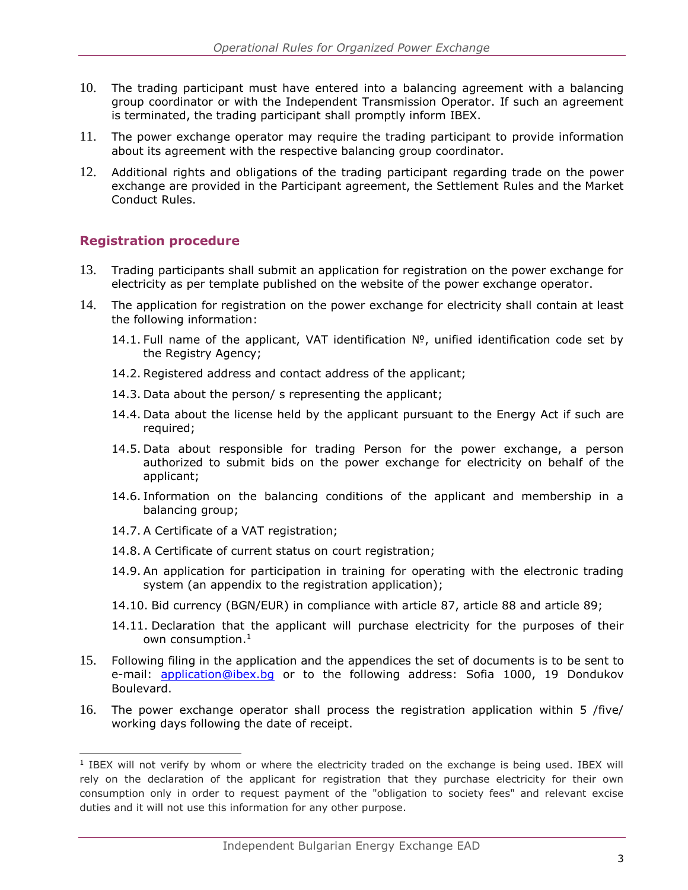- 10. The trading participant must have entered into a balancing agreement with a balancing group coordinator or with the Independent Transmission Operator. If such an agreement is terminated, the trading participant shall promptly inform IBEX.
- 11. The power exchange operator may require the trading participant to provide information about its agreement with the respective balancing group coordinator.
- 12. Additional rights and obligations of the trading participant regarding trade on the power exchange are provided in the Participant agreement, the Settlement Rules and the Market Conduct Rules.

# <span id="page-3-0"></span>**Registration procedure**

- 13. Trading participants shall submit an application for registration on the power exchange for electricity as per template published on the website of the power exchange operator.
- <span id="page-3-1"></span>14. The application for registration on the power exchange for electricity shall contain at least the following information:
	- 14.1. Full name of the applicant, VAT identification №, unified identification code set by the Registry Agency;
	- 14.2. Registered address and contact address of the applicant;
	- 14.3. Data about the person/ s representing the applicant;
	- 14.4. Data about the license held by the applicant pursuant to the Energy Act if such are required;
	- 14.5. Data about responsible for trading Person for the power exchange, a person authorized to submit bids on the power exchange for electricity on behalf of the applicant;
	- 14.6. Information on the balancing conditions of the applicant and membership in a balancing group;
	- 14.7. A Certificate of a VAT registration;
	- 14.8. A Certificate of current status on court registration;
	- 14.9. An application for participation in training for operating with the electronic trading system (an appendix to the registration application);
	- 14.10. Bid currency (BGN/EUR) in compliance with article [87,](#page-11-3) article [88](#page-11-4) and article [89;](#page-11-5)
	- 14.11. Declaration that the applicant will purchase electricity for the purposes of their own consumption. $^{\rm 1}$
- 15. Following filing in the application and the appendices the set of documents is to be sent to e-mail: application@ibex.bq or to the following address: Sofia 1000, 19 Dondukov Boulevard.
- 16. The power exchange operator shall process the registration application within 5 /five/ working days following the date of receipt.

ł <sup>1</sup> IBEX will not verify by whom or where the electricity traded on the exchange is being used. IBEX will rely on the declaration of the applicant for registration that they purchase electricity for their own consumption only in order to request payment of the "obligation to society fees" and relevant excise duties and it will not use this information for any other purpose.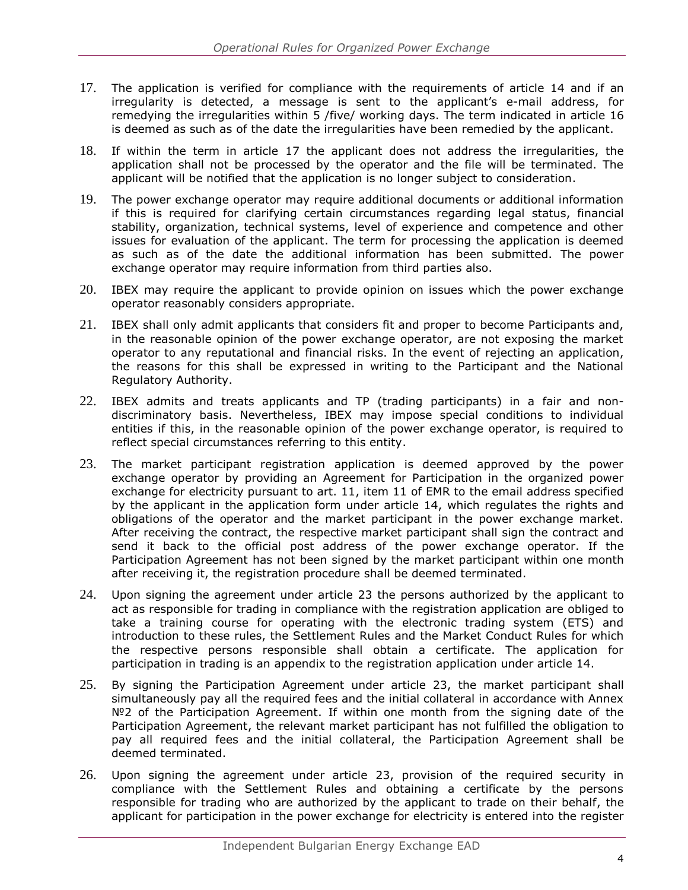- <span id="page-4-0"></span>17. The application is verified for compliance with the requirements of article 14 and if an irregularity is detected, a message is sent to the applicant's e-mail address, for remedying the irregularities within 5 /five/ working days. The term indicated in article 16 is deemed as such as of the date the irregularities have been remedied by the applicant.
- 18. If within the term in article [17](#page-4-0) the applicant does not address the irregularities, the application shall not be processed by the operator and the file will be terminated. The applicant will be notified that the application is no longer subject to consideration.
- 19. The power exchange operator may require additional documents or additional information if this is required for clarifying certain circumstances regarding legal status, financial stability, organization, technical systems, level of experience and competence and other issues for evaluation of the applicant. The term for processing the application is deemed as such as of the date the additional information has been submitted. The power exchange operator may require information from third parties also.
- 20. IBEX may require the applicant to provide opinion on issues which the power exchange operator reasonably considers appropriate.
- 21. IBEX shall only admit applicants that considers fit and proper to become Participants and, in the reasonable opinion of the power exchange operator, are not exposing the market operator to any reputational and financial risks. In the event of rejecting an application, the reasons for this shall be expressed in writing to the Participant and the National Regulatory Authority.
- 22. IBEX admits and treats applicants and TP (trading participants) in a fair and nondiscriminatory basis. Nevertheless, IBEX may impose special conditions to individual entities if this, in the reasonable opinion of the power exchange operator, is required to reflect special circumstances referring to this entity.
- <span id="page-4-1"></span>23. The market participant registration application is deemed approved by the power exchange operator by providing an Agreement for Participation in the organized power exchange for electricity pursuant to art. 11, item 11 of EMR to the email address specified by the applicant in the application form under article 14, which regulates the rights and obligations of the operator and the market participant in the power exchange market. After receiving the contract, the respective market participant shall sign the contract and send it back to the official post address of the power exchange operator. If the Participation Agreement has not been signed by the market participant within one month after receiving it, the registration procedure shall be deemed terminated.
- 24. Upon signing the agreement under article 23 the persons authorized by the applicant to act as responsible for trading in compliance with the registration application are obliged to take a training course for operating with the electronic trading system (ETS) and introduction to these rules, the Settlement Rules and the Market Conduct Rules for which the respective persons responsible shall obtain a certificate. The application for participation in trading is an appendix to the registration application under article [14.](#page-3-1)
- 25. By signing the Participation Agreement under article 23, the market participant shall simultaneously pay all the required fees and the initial collateral in accordance with Annex №2 of the Participation Agreement. If within one month from the signing date of the Participation Agreement, the relevant market participant has not fulfilled the obligation to pay all required fees and the initial collateral, the Participation Agreement shall be deemed terminated.
- 26. Upon signing the agreement under article [23,](#page-4-1) provision of the required security in compliance with the Settlement Rules and obtaining a certificate by the persons responsible for trading who are authorized by the applicant to trade on their behalf, the applicant for participation in the power exchange for electricity is entered into the register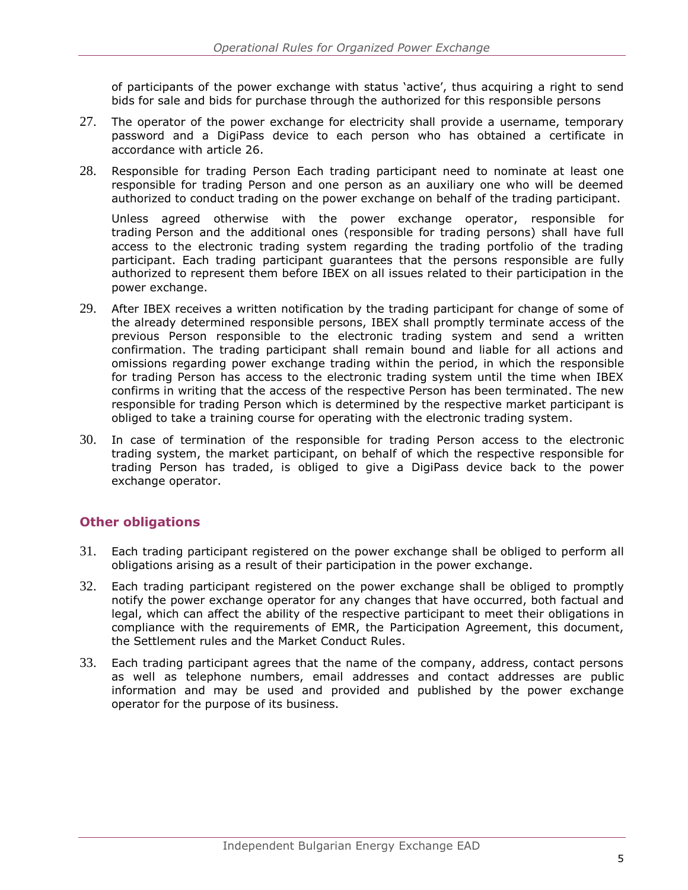of participants of the power exchange with status 'active', thus acquiring a right to send bids for sale and bids for purchase through the authorized for this responsible persons

- 27. The operator of the power exchange for electricity shall provide a username, temporary password and a DigiPass device to each person who has obtained a certificate in accordance with article 26.
- 28. Responsible for trading Person Each trading participant need to nominate at least one responsible for trading Person and one person as an auxiliary one who will be deemed authorized to conduct trading on the power exchange on behalf of the trading participant.

<span id="page-5-1"></span>Unless agreed otherwise with the power exchange operator, responsible for trading Person and the additional ones (responsible for trading persons) shall have full access to the electronic trading system regarding the trading portfolio of the trading participant. Each trading participant guarantees that the persons responsible are fully authorized to represent them before IBEX on all issues related to their participation in the power exchange.

- 29. After IBEX receives a written notification by the trading participant for change of some of the already determined responsible persons, IBEX shall promptly terminate access of the previous Person responsible to the electronic trading system and send a written confirmation. The trading participant shall remain bound and liable for all actions and omissions regarding power exchange trading within the period, in which the responsible for trading Person has access to the electronic trading system until the time when IBEX confirms in writing that the access of the respective Person has been terminated. The new responsible for trading Person which is determined by the respective market participant is obliged to take a training course for operating with the electronic trading system.
- 30. In case of termination of the responsible for trading Person access to the electronic trading system, the market participant, on behalf of which the respective responsible for trading Person has traded, is obliged to give a DigiPass device back to the power exchange operator.

# <span id="page-5-0"></span>**Other obligations**

- 31. Each trading participant registered on the power exchange shall be obliged to perform all obligations arising as a result of their participation in the power exchange.
- 32. Each trading participant registered on the power exchange shall be obliged to promptly notify the power exchange operator for any changes that have occurred, both factual and legal, which can affect the ability of the respective participant to meet their obligations in compliance with the requirements of EMR, the Participation Agreement, this document, the Settlement rules and the Market Conduct Rules.
- 33. Each trading participant agrees that the name of the company, address, contact persons as well as telephone numbers, email addresses and contact addresses are public information and may be used and provided and published by the power exchange operator for the purpose of its business.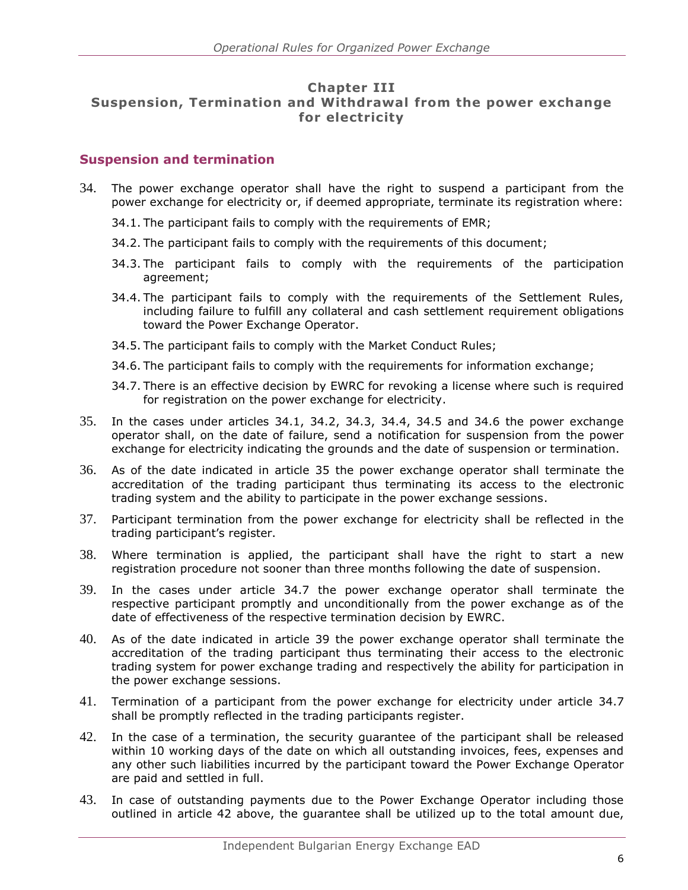#### **Chapter III Suspension, Termination and Withdrawal from the power exchange for electricity**

# <span id="page-6-0"></span>**Suspension and termination**

- <span id="page-6-4"></span><span id="page-6-3"></span><span id="page-6-2"></span><span id="page-6-1"></span>34. The power exchange operator shall have the right to suspend a participant from the power exchange for electricity or, if deemed appropriate, terminate its registration where:
	- 34.1. The participant fails to comply with the requirements of EMR;
	- 34.2. The participant fails to comply with the requirements of this document;
	- 34.3. The participant fails to comply with the requirements of the participation agreement;
	- 34.4. The participant fails to comply with the requirements of the Settlement Rules, including failure to fulfill any collateral and cash settlement requirement obligations toward the Power Exchange Operator.
	- 34.5. The participant fails to comply with the Market Conduct Rules;
	- 34.6. The participant fails to comply with the requirements for information exchange;
	- 34.7. There is an effective decision by EWRC for revoking a license where such is required for registration on the power exchange for electricity.
- <span id="page-6-8"></span><span id="page-6-7"></span><span id="page-6-6"></span><span id="page-6-5"></span>35. In the cases under articles [34.1,](#page-6-1) [34.2,](#page-6-2) [34.3,](#page-6-3) [34.4,](#page-6-4) [34.5](#page-6-5) and [34.6](#page-6-6) the power exchange operator shall, on the date of failure, send a notification for suspension from the power exchange for electricity indicating the grounds and the date of suspension or termination.
- 36. As of the date indicated in article [35](#page-6-7) the power exchange operator shall terminate the accreditation of the trading participant thus terminating its access to the electronic trading system and the ability to participate in the power exchange sessions.
- 37. Participant termination from the power exchange for electricity shall be reflected in the trading participant's register.
- 38. Where termination is applied, the participant shall have the right to start a new registration procedure not sooner than three months following the date of suspension.
- <span id="page-6-9"></span>39. In the cases under article [34.7](#page-6-8) the power exchange operator shall terminate the respective participant promptly and unconditionally from the power exchange as of the date of effectiveness of the respective termination decision by EWRC.
- 40. As of the date indicated in article [39](#page-6-9) the power exchange operator shall terminate the accreditation of the trading participant thus terminating their access to the electronic trading system for power exchange trading and respectively the ability for participation in the power exchange sessions.
- 41. Termination of a participant from the power exchange for electricity under article [34.7](#page-6-8) shall be promptly reflected in the trading participants register.
- <span id="page-6-10"></span>42. In the case of a termination, the security guarantee of the participant shall be released within 10 working days of the date on which all outstanding invoices, fees, expenses and any other such liabilities incurred by the participant toward the Power Exchange Operator are paid and settled in full.
- 43. In case of outstanding payments due to the Power Exchange Operator including those outlined in article [42](#page-6-10) above, the guarantee shall be utilized up to the total amount due,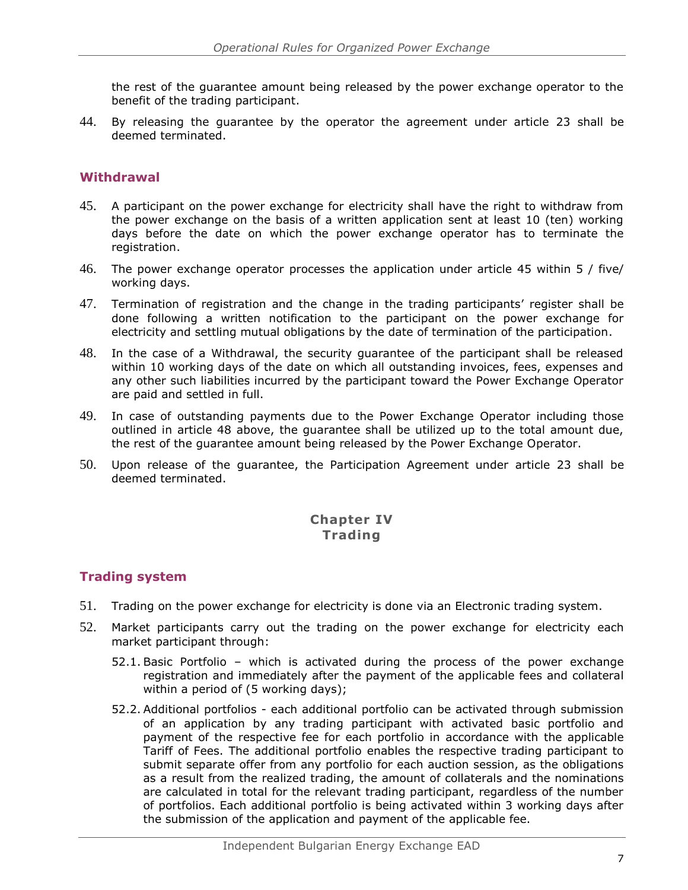the rest of the guarantee amount being released by the power exchange operator to the benefit of the trading participant.

44. By releasing the guarantee by the operator the agreement under article [23](#page-4-1) shall be deemed terminated.

#### <span id="page-7-0"></span>**Withdrawal**

- <span id="page-7-2"></span>45. A participant on the power exchange for electricity shall have the right to withdraw from the power exchange on the basis of a written application sent at least 10 (ten) working days before the date on which the power exchange operator has to terminate the registration.
- 46. The power exchange operator processes the application under article [45](#page-7-2) within 5 / five/ working days.
- 47. Termination of registration and the change in the trading participants' register shall be done following a written notification to the participant on the power exchange for electricity and settling mutual obligations by the date of termination of the participation.
- <span id="page-7-3"></span>48. In the case of a Withdrawal, the security guarantee of the participant shall be released within 10 working days of the date on which all outstanding invoices, fees, expenses and any other such liabilities incurred by the participant toward the Power Exchange Operator are paid and settled in full.
- 49. In case of outstanding payments due to the Power Exchange Operator including those outlined in article [48](#page-7-3) above, the guarantee shall be utilized up to the total amount due, the rest of the guarantee amount being released by the Power Exchange Operator.
- 50. Upon release of the guarantee, the Participation Agreement under article [23](#page-4-1) shall be deemed terminated.

# **Chapter IV Trading**

# <span id="page-7-1"></span>**Trading system**

- 51. Trading on the power exchange for electricity is done via an Electronic trading system.
- 52. Market participants carry out the trading on the power exchange for electricity each market participant through:
	- 52.1. Basic Portfolio which is activated during the process of the power exchange registration and immediately after the payment of the applicable fees and collateral within a period of (5 working days);
	- 52.2. Additional portfolios each additional portfolio can be activated through submission of an application by any trading participant with activated basic portfolio and payment of the respective fee for each portfolio in accordance with the applicable Tariff of Fees. The additional portfolio enables the respective trading participant to submit separate offer from any portfolio for each auction session, as the obligations as a result from the realized trading, the amount of collaterals and the nominations are calculated in total for the relevant trading participant, regardless of the number of portfolios. Each additional portfolio is being activated within 3 working days after the submission of the application and payment of the applicable fee.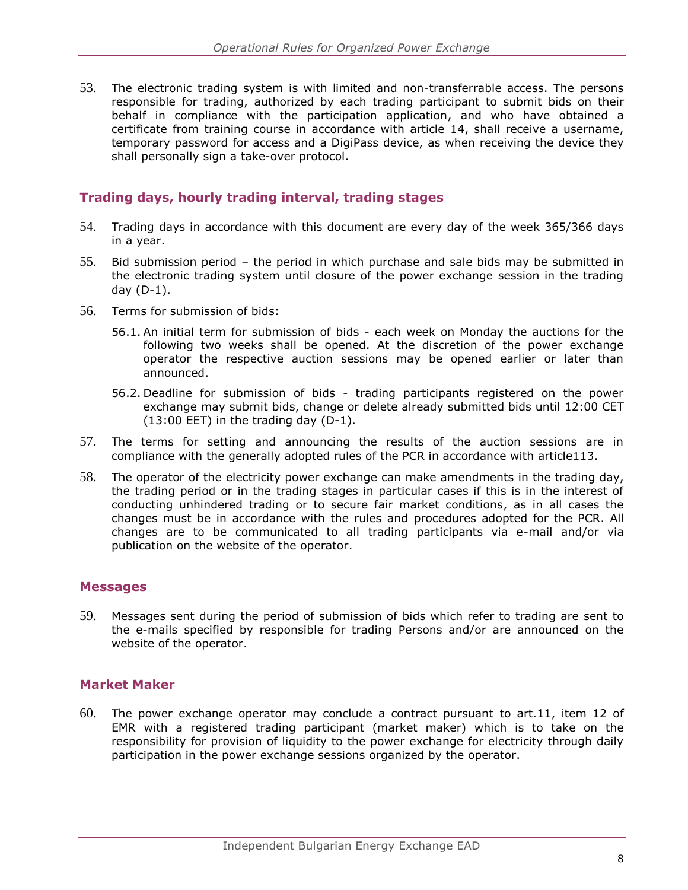53. The electronic trading system is with limited and non-transferrable access. The persons responsible for trading, authorized by each trading participant to submit bids on their behalf in compliance with the participation application, and who have obtained a certificate from training course in accordance with article [14,](#page-3-1) shall receive a username, temporary password for access and a DigiPass device, as when receiving the device they shall personally sign a take-over protocol.

# <span id="page-8-0"></span>**Trading days, hourly trading interval, trading stages**

- 54. Trading days in accordance with this document are every day of the week 365/366 days in a year.
- 55. Bid submission period the period in which purchase and sale bids may be submitted in the electronic trading system until closure of the power exchange session in the trading day (D-1).
- 56. Terms for submission of bids:
	- 56.1. An initial term for submission of bids each week on Monday the auctions for the following two weeks shall be opened. At the discretion of the power exchange operator the respective auction sessions may be opened earlier or later than announced.
	- 56.2. Deadline for submission of bids trading participants registered on the power exchange may submit bids, change or delete already submitted bids until 12:00 CET (13:00 EET) in the trading day (D-1).
- <span id="page-8-3"></span>57. The terms for setting and announcing the results of the auction sessions are in compliance with the generally adopted rules of the PCR in accordance with article113.
- 58. The operator of the electricity power exchange can make amendments in the trading day, the trading period or in the trading stages in particular cases if this is in the interest of conducting unhindered trading or to secure fair market conditions, as in all cases the changes must be in accordance with the rules and procedures adopted for the PCR. All changes are to be communicated to all trading participants via e-mail and/or via publication on the website of the operator.

# <span id="page-8-1"></span>**Messages**

59. Messages sent during the period of submission of bids which refer to trading are sent to the e-mails specified by responsible for trading Persons and/or are announced on the website of the operator.

# <span id="page-8-2"></span>**Market Maker**

60. The power exchange operator may conclude a contract pursuant to art.11, item 12 of EMR with a registered trading participant (market maker) which is to take on the responsibility for provision of liquidity to the power exchange for electricity through daily participation in the power exchange sessions organized by the operator.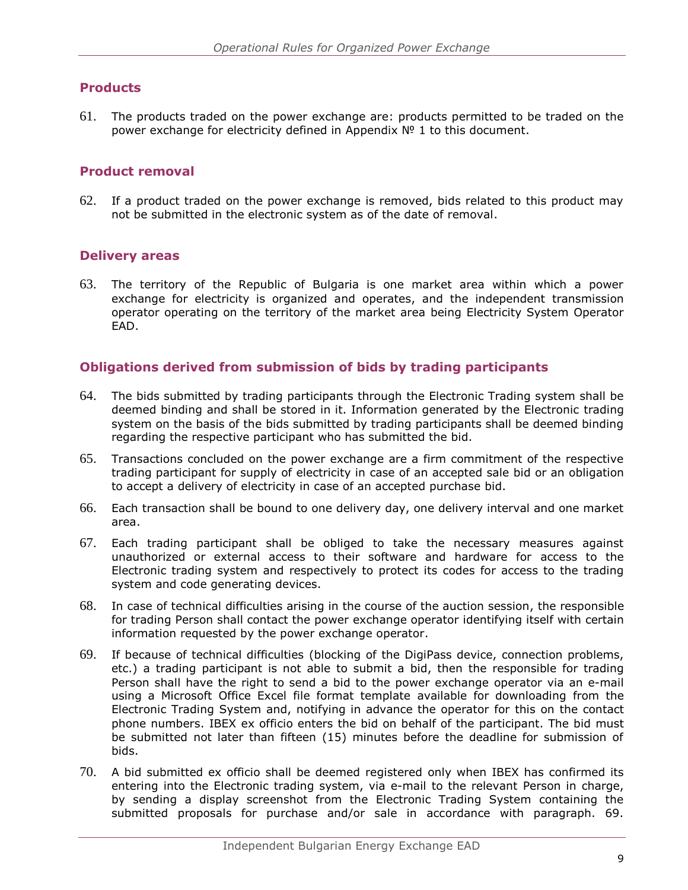# <span id="page-9-0"></span>**Products**

61. The products traded on the power exchange are: products permitted to be traded on the power exchange for electricity defined in Appendix  $N<sup>o</sup>$  1 to this document.

#### <span id="page-9-1"></span>**Product removal**

62. If a product traded on the power exchange is removed, bids related to this product may not be submitted in the electronic system as of the date of removal.

# <span id="page-9-2"></span>**Delivery areas**

63. The territory of the Republic of Bulgaria is one market area within which a power exchange for electricity is organized and operates, and the independent transmission operator operating on the territory of the market area being Electricity System Operator EAD.

#### <span id="page-9-3"></span>**Obligations derived from submission of bids by trading participants**

- 64. The bids submitted by trading participants through the Electronic Trading system shall be deemed binding and shall be stored in it. Information generated by the Electronic trading system on the basis of the bids submitted by trading participants shall be deemed binding regarding the respective participant who has submitted the bid.
- 65. Transactions concluded on the power exchange are a firm commitment of the respective trading participant for supply of electricity in case of an accepted sale bid or an obligation to accept a delivery of electricity in case of an accepted purchase bid.
- 66. Each transaction shall be bound to one delivery day, one delivery interval and one market area.
- 67. Each trading participant shall be obliged to take the necessary measures against unauthorized or external access to their software and hardware for access to the Electronic trading system and respectively to protect its codes for access to the trading system and code generating devices.
- 68. In case of technical difficulties arising in the course of the auction session, the responsible for trading Person shall contact the power exchange operator identifying itself with certain information requested by the power exchange operator.
- 69. If because of technical difficulties (blocking of the DigiPass device, connection problems, etc.) a trading participant is not able to submit a bid, then the responsible for trading Person shall have the right to send a bid to the power exchange operator via an e-mail using a Microsoft Office Excel file format template available for downloading from the Electronic Trading System and, notifying in advance the operator for this on the contact phone numbers. IBEX ex officio enters the bid on behalf of the participant. The bid must be submitted not later than fifteen (15) minutes before the deadline for submission of bids.
- 70. A bid submitted ex officio shall be deemed registered only when IBEX has confirmed its entering into the Electronic trading system, via e-mail to the relevant Person in charge, by sending a display screenshot from the Electronic Trading System containing the submitted proposals for purchase and/or sale in accordance with paragraph. 69.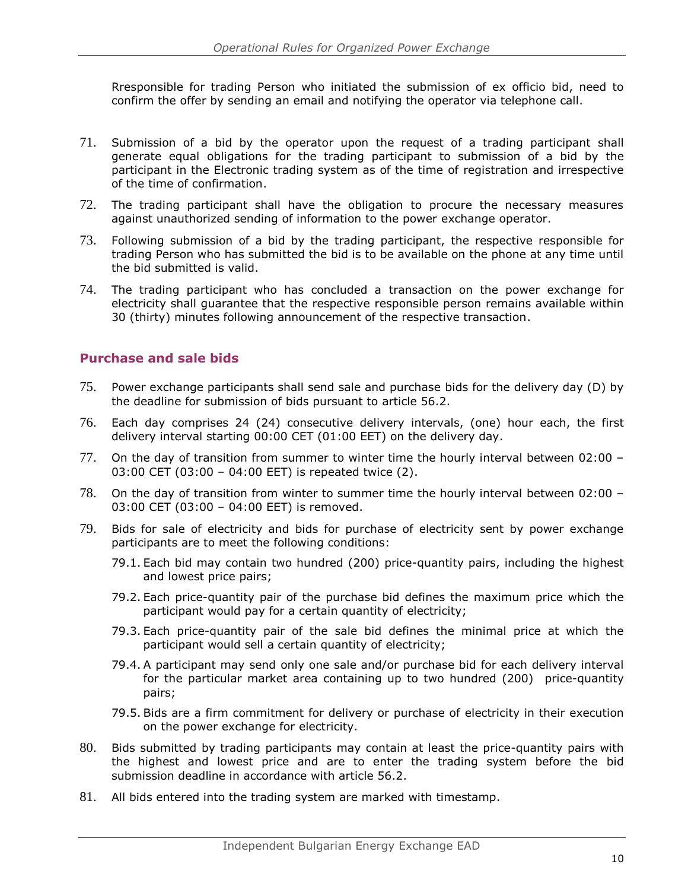Rresponsible for trading Person who initiated the submission of ex officio bid, need to confirm the offer by sending an email and notifying the operator via telephone call.

- 71. Submission of a bid by the operator upon the request of a trading participant shall generate equal obligations for the trading participant to submission of a bid by the participant in the Electronic trading system as of the time of registration and irrespective of the time of confirmation.
- 72. The trading participant shall have the obligation to procure the necessary measures against unauthorized sending of information to the power exchange operator.
- 73. Following submission of a bid by the trading participant, the respective responsible for trading Person who has submitted the bid is to be available on the phone at any time until the bid submitted is valid.
- 74. The trading participant who has concluded a transaction on the power exchange for electricity shall guarantee that the respective responsible person remains available within 30 (thirty) minutes following announcement of the respective transaction.

#### <span id="page-10-0"></span>**Purchase and sale bids**

- 75. Power exchange participants shall send sale and purchase bids for the delivery day (D) by the deadline for submission of bids pursuant to article [56.2.](#page-8-3)
- 76. Each day comprises 24 (24) consecutive delivery intervals, (one) hour each, the first delivery interval starting 00:00 CET (01:00 EET) on the delivery day.
- 77. On the day of transition from summer to winter time the hourly interval between 02:00 03:00 CET (03:00 – 04:00 EET) is repeated twice (2).
- 78. On the day of transition from winter to summer time the hourly interval between 02:00 03:00 CET (03:00 – 04:00 EET) is removed.
- 79. Bids for sale of electricity and bids for purchase of electricity sent by power exchange participants are to meet the following conditions:
	- 79.1. Each bid may contain two hundred (200) price-quantity pairs, including the highest and lowest price pairs;
	- 79.2. Each price-quantity pair of the purchase bid defines the maximum price which the participant would pay for a certain quantity of electricity;
	- 79.3. Each price-quantity pair of the sale bid defines the minimal price at which the participant would sell a certain quantity of electricity;
	- 79.4. A participant may send only one sale and/or purchase bid for each delivery interval for the particular market area containing up to two hundred (200) price-quantity pairs;
	- 79.5. Bids are a firm commitment for delivery or purchase of electricity in their execution on the power exchange for electricity.
- 80. Bids submitted by trading participants may contain at least the price-quantity pairs with the highest and lowest price and are to enter the trading system before the bid submission deadline in accordance with article [56.2.](#page-8-3)
- 81. All bids entered into the trading system are marked with timestamp.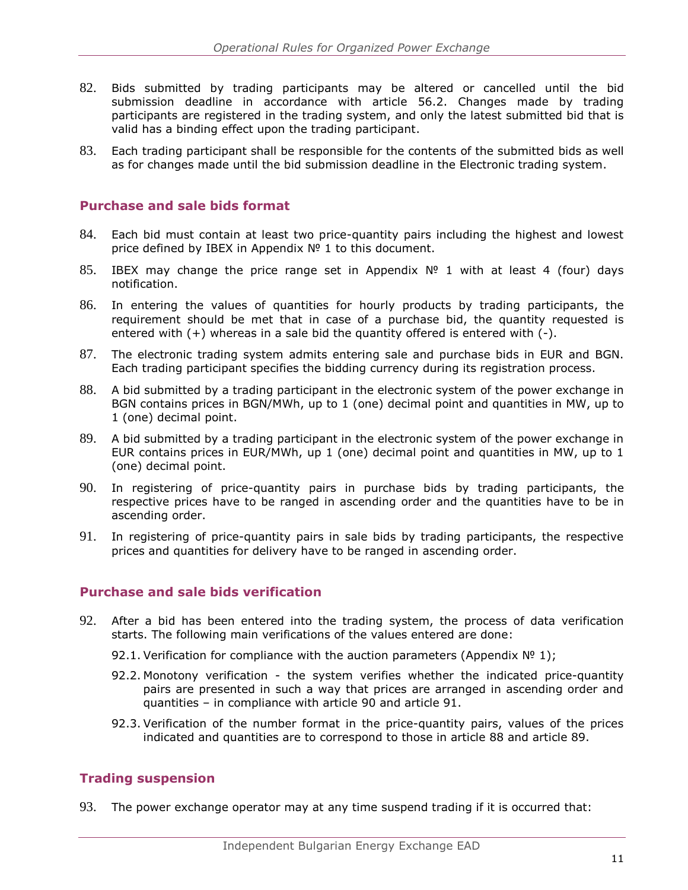- 82. Bids submitted by trading participants may be altered or cancelled until the bid submission deadline in accordance with article [56.2.](#page-8-3) Changes made by trading participants are registered in the trading system, and only the latest submitted bid that is valid has a binding effect upon the trading participant.
- 83. Each trading participant shall be responsible for the contents of the submitted bids as well as for changes made until the bid submission deadline in the Electronic trading system.

#### <span id="page-11-0"></span>**Purchase and sale bids format**

- 84. Each bid must contain at least two price-quantity pairs including the highest and lowest price defined by IBEX in Appendix № 1 to this document.
- 85. IBEX may change the price range set in Appendix  $N^{\circ}$  1 with at least 4 (four) days notification.
- 86. In entering the values of quantities for hourly products by trading participants, the requirement should be met that in case of a purchase bid, the quantity requested is entered with  $(+)$  whereas in a sale bid the quantity offered is entered with  $(-)$ .
- <span id="page-11-3"></span>87. The electronic trading system admits entering sale and purchase bids in EUR and BGN. Each trading participant specifies the bidding currency during its registration process.
- <span id="page-11-4"></span>88. A bid submitted by a trading participant in the electronic system of the power exchange in BGN contains prices in BGN/MWh, up to 1 (one) decimal point and quantities in MW, up to 1 (one) decimal point.
- <span id="page-11-5"></span>89. A bid submitted by a trading participant in the electronic system of the power exchange in EUR contains prices in EUR/MWh, up 1 (one) decimal point and quantities in MW, up to 1 (one) decimal point.
- 90. In registering of price-quantity pairs in purchase bids by trading participants, the respective prices have to be ranged in ascending order and the quantities have to be in ascending order.
- 91. In registering of price-quantity pairs in sale bids by trading participants, the respective prices and quantities for delivery have to be ranged in ascending order.

#### <span id="page-11-1"></span>**Purchase and sale bids verification**

- 92. After a bid has been entered into the trading system, the process of data verification starts. The following main verifications of the values entered are done:
	- 92.1. Verification for compliance with the auction parameters (Appendix  $N^{\circ}$  1);
	- 92.2. Monotony verification the system verifies whether the indicated price-quantity pairs are presented in such a way that prices are arranged in ascending order and quantities – in compliance with article 90 and article 91.
	- 92.3. Verification of the number format in the price-quantity pairs, values of the prices indicated and quantities are to correspond to those in article 88 and article 89.

# <span id="page-11-2"></span>**Trading suspension**

93. The power exchange operator may at any time suspend trading if it is occurred that: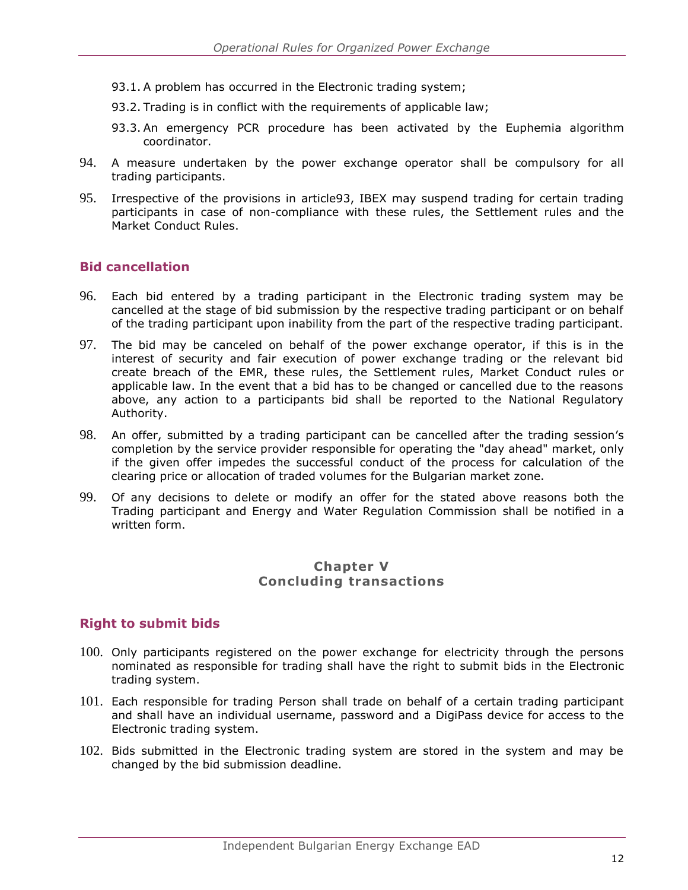- 93.1. A problem has occurred in the Electronic trading system;
- 93.2. Trading is in conflict with the requirements of applicable law;
- 93.3. An emergency PCR procedure has been activated by the Euphemia algorithm coordinator.
- 94. A measure undertaken by the power exchange operator shall be compulsory for all trading participants.
- 95. Irrespective of the provisions in article93, IBEX may suspend trading for certain trading participants in case of non-compliance with these rules, the Settlement rules and the Market Conduct Rules.

#### <span id="page-12-0"></span>**Bid cancellation**

- 96. Each bid entered by a trading participant in the Electronic trading system may be cancelled at the stage of bid submission by the respective trading participant or on behalf of the trading participant upon inability from the part of the respective trading participant.
- 97. The bid may be canceled on behalf of the power exchange operator, if this is in the interest of security and fair execution of power exchange trading or the relevant bid create breach of the EMR, these rules, the Settlement rules, Market Conduct rules or applicable law. In the event that a bid has to be changed or cancelled due to the reasons above, any action to a participants bid shall be reported to the National Regulatory Authority.
- 98. An offer, submitted by a trading participant can be cancelled after the trading session's completion by the service provider responsible for operating the "day ahead" market, only if the given offer impedes the successful conduct of the process for calculation of the clearing price or allocation of traded volumes for the Bulgarian market zone.
- 99. Of any decisions to delete or modify an offer for the stated above reasons both the Trading participant and Energy and Water Regulation Commission shall be notified in a written form.

#### **Chapter V Concluding transactions**

#### <span id="page-12-1"></span>**Right to submit bids**

- 100. Only participants registered on the power exchange for electricity through the persons nominated as responsible for trading shall have the right to submit bids in the Electronic trading system.
- 101. Each responsible for trading Person shall trade on behalf of a certain trading participant and shall have an individual username, password and a DigiPass device for access to the Electronic trading system.
- 102. Bids submitted in the Electronic trading system are stored in the system and may be changed by the bid submission deadline.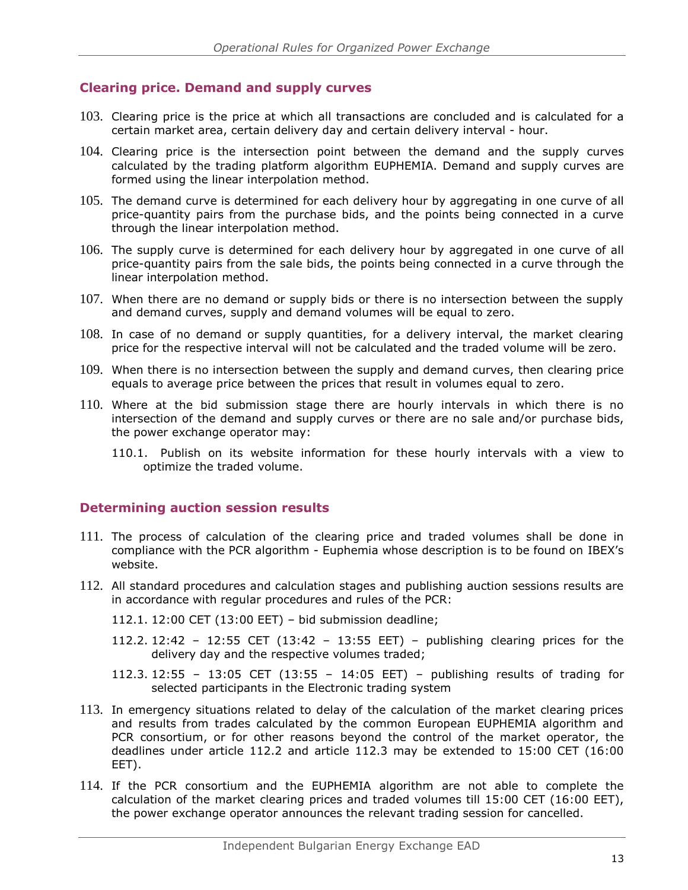# <span id="page-13-0"></span>**Clearing price. Demand and supply curves**

- 103. Clearing price is the price at which all transactions are concluded and is calculated for a certain market area, certain delivery day and certain delivery interval - hour.
- 104. Clearing price is the intersection point between the demand and the supply curves calculated by the trading platform algorithm EUPHEMIA. Demand and supply curves are formed using the linear interpolation method.
- 105. The demand curve is determined for each delivery hour by aggregating in one curve of all price-quantity pairs from the purchase bids, and the points being connected in a curve through the linear interpolation method.
- 106. The supply curve is determined for each delivery hour by aggregated in one curve of all price-quantity pairs from the sale bids, the points being connected in a curve through the linear interpolation method.
- 107. When there are no demand or supply bids or there is no intersection between the supply and demand curves, supply and demand volumes will be equal to zero.
- 108. In case of no demand or supply quantities, for a delivery interval, the market clearing price for the respective interval will not be calculated and the traded volume will be zerо.
- 109. When there is no intersection between the supply and demand curves, then clearing price equals to average price between the prices that result in volumes equal to zero.
- 110. Where at the bid submission stage there are hourly intervals in which there is no intersection of the demand and supply curves or there are no sale and/or purchase bids, the power exchange operator may:
	- 110.1. Publish on its website information for these hourly intervals with a view to optimize the traded volume.

#### <span id="page-13-1"></span>**Determining auction session results**

- 111. The process of calculation of the clearing price and traded volumes shall be done in compliance with the PCR algorithm - Euphemia whose description is to be found on IBEX's website.
- 112. All standard procedures and calculation stages and publishing auction sessions results are in accordance with regular procedures and rules of the PCR:
	- 112.1. 12:00 CET (13:00 EET) bid submission deadline;
	- 112.2. 12:42 12:55 CET (13:42 13:55 EET) publishing clearing prices for the delivery day and the respective volumes traded;
	- 112.3. 12:55 13:05 CET (13:55 14:05 EET) publishing results of trading for selected participants in the Electronic trading system
- 113. In emergency situations related to delay of the calculation of the market clearing prices and results from trades calculated by the common European EUPHEMIA algorithm and PCR consortium, or for other reasons beyond the control of the market operator, the deadlines under article 112.2 and article 112.3 may be extended to 15:00 CET (16:00 EET).
- 114. If the PCR consortium and the EUPHEMIA algorithm are not able to complete the calculation of the market clearing prices and traded volumes till 15:00 CET (16:00 EET), the power exchange operator announces the relevant trading session for cancelled.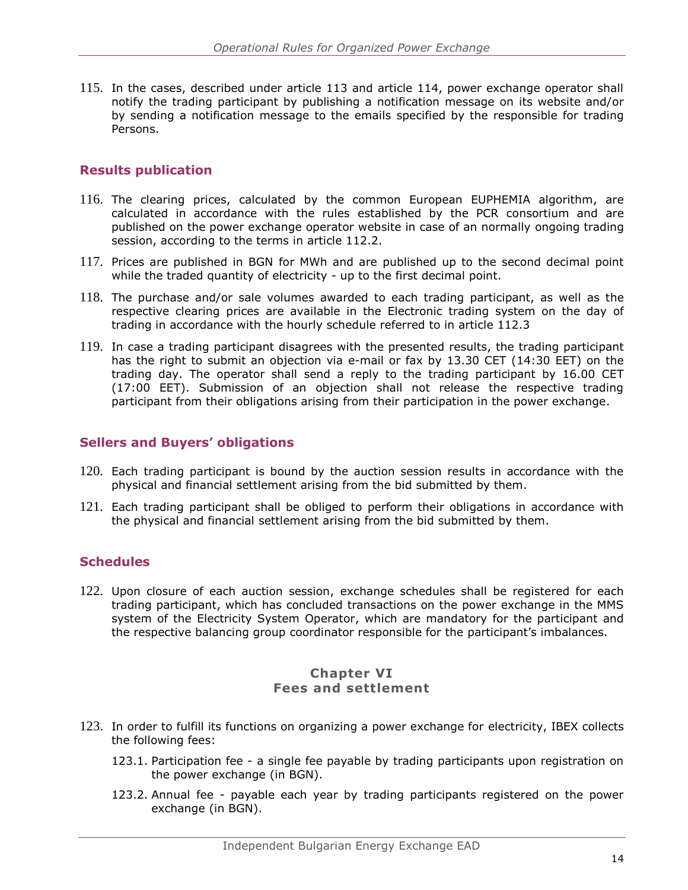115. In the cases, described under article 113 and article 114, power exchange operator shall notify the trading participant by publishing a notification message on its website and/or by sending a notification message to the emails specified by the responsible for trading Persons.

# <span id="page-14-0"></span>**Results publication**

- 116. The clearing prices, calculated by the common European EUPHEMIA algorithm, are calculated in accordance with the rules established by the PCR consortium and are published on the power exchange operator website in case of an normally ongoing trading session, according to the terms in article 112.2.
- 117. Prices are published in BGN for MWh and are published up to the second decimal point while the traded quantity of electricity - up to the first decimal point.
- 118. The purchase and/or sale volumes awarded to each trading participant, as well as the respective clearing prices are available in the Electronic trading system on the day of trading in accordance with the hourly schedule referred to in article 112.3
- 119. In case a trading participant disagrees with the presented results, the trading participant has the right to submit an objection via e-mail or fax by 13.30 CET (14:30 EET) on the trading day. The operator shall send a reply to the trading participant by 16.00 CET (17:00 EET). Submission of an objection shall not release the respective trading participant from their obligations arising from their participation in the power exchange.

# <span id="page-14-1"></span>**Sellers and Buyers' obligations**

- 120. Each trading participant is bound by the auction session results in accordance with the physical and financial settlement arising from the bid submitted by them.
- 121. Each trading participant shall be obliged to perform their obligations in accordance with the physical and financial settlement arising from the bid submitted by them.

# <span id="page-14-2"></span>**Schedules**

122. Upon closure of each auction session, exchange schedules shall be registered for each trading participant, which has concluded transactions on the power exchange in the MMS system of the Electricity System Operator, which are mandatory for the participant and the respective balancing group coordinator responsible for the participant's imbalances.

# **Chapter VI Fees and settlement**

- 123. In order to fulfill its functions on organizing a power exchange for electricity, IBEX collects the following fees:
	- 123.1. Participation fee a single fee payable by trading participants upon registration on the power exchange (in BGN).
	- 123.2. Annual fee payable each year by trading participants registered on the power exchange (in BGN).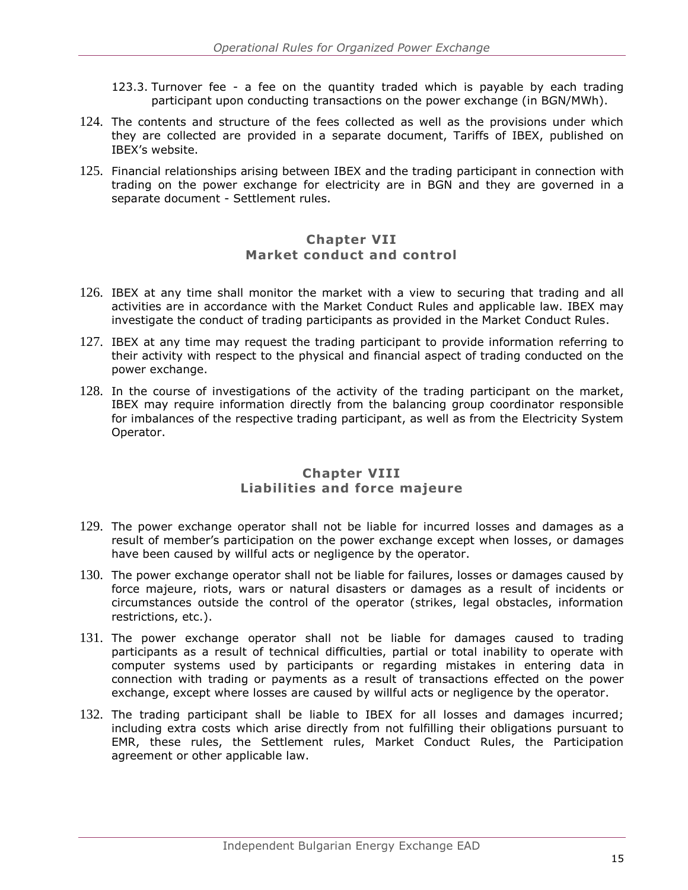- 123.3. Turnover fee a fee on the quantity traded which is payable by each trading participant upon conducting transactions on the power exchange (in BGN/MWh).
- 124. The contents and structure of the fees collected as well as the provisions under which they are collected are provided in a separate document, Tariffs of IBEX, published on IBEX's website.
- 125. Financial relationships arising between IBEX and the trading participant in connection with trading on the power exchange for electricity are in BGN and they are governed in a separate document - Settlement rules.

#### **Chapter VII Market conduct and control**

- 126. IBEX at any time shall monitor the market with a view to securing that trading and all activities are in accordance with the Market Conduct Rules and applicable law. IBEX may investigate the conduct of trading participants as provided in the Market Conduct Rules.
- 127. IBEX at any time may request the trading participant to provide information referring to their activity with respect to the physical and financial aspect of trading conducted on the power exchange.
- 128. In the course of investigations of the activity of the trading participant on the market, IBEX may require information directly from the balancing group coordinator responsible for imbalances of the respective trading participant, as well as from the Electricity System Operator.

# **Chapter VIII Liabilities and force majeure**

- 129. The power exchange operator shall not be liable for incurred losses and damages as a result of member's participation on the power exchange except when losses, or damages have been caused by willful acts or negligence by the operator.
- 130. The power exchange operator shall not be liable for failures, losses or damages caused by force majeure, riots, wars or natural disasters or damages as a result of incidents or circumstances outside the control of the operator (strikes, legal obstacles, information restrictions, etc.).
- 131. The power exchange operator shall not be liable for damages caused to trading participants as a result of technical difficulties, partial or total inability to operate with computer systems used by participants or regarding mistakes in entering data in connection with trading or payments as a result of transactions effected on the power exchange, except where losses are caused by willful acts or negligence by the operator.
- 132. The trading participant shall be liable to IBEX for all losses and damages incurred; including extra costs which arise directly from not fulfilling their obligations pursuant to EMR, these rules, the Settlement rules, Market Conduct Rules, the Participation agreement or other applicable law.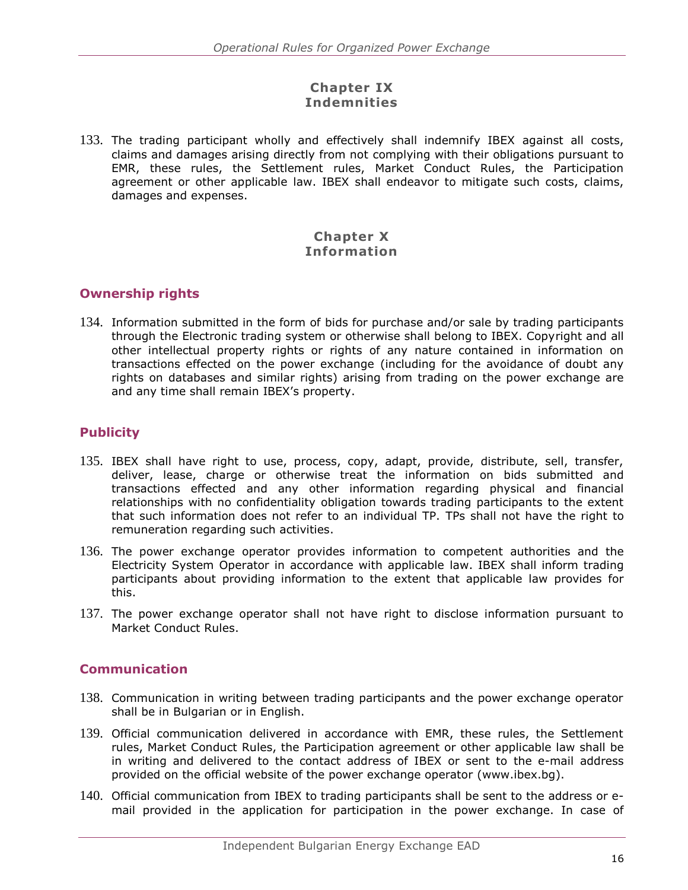# **Chapter IX Indemnities**

133. The trading participant wholly and effectively shall indemnify IBEX against all costs, claims and damages arising directly from not complying with their obligations pursuant to EMR, these rules, the Settlement rules, Market Conduct Rules, the Participation agreement or other applicable law. IBEX shall endeavor to mitigate such costs, claims, damages and expenses.

#### **Chapter X Information**

# <span id="page-16-0"></span>**Ownership rights**

134. Information submitted in the form of bids for purchase and/or sale by trading participants through the Electronic trading system or otherwise shall belong to IBEX. Copyright and all other intellectual property rights or rights of any nature contained in information on transactions effected on the power exchange (including for the avoidance of doubt any rights on databases and similar rights) arising from trading on the power exchange are and any time shall remain IBEX's property.

# <span id="page-16-1"></span>**Publicity**

- 135. IBEX shall have right to use, process, copy, adapt, provide, distribute, sell, transfer, deliver, lease, charge or otherwise treat the information on bids submitted and transactions effected and any other information regarding physical and financial relationships with no confidentiality obligation towards trading participants to the extent that such information does not refer to an individual TP. TPs shall not have the right to remuneration regarding such activities.
- 136. The power exchange operator provides information to competent authorities and the Electricity System Operator in accordance with applicable law. IBEX shall inform trading participants about providing information to the extent that applicable law provides for this.
- 137. The power exchange operator shall not have right to disclose information pursuant to Market Conduct Rules.

# <span id="page-16-2"></span>**Communication**

- 138. Communication in writing between trading participants and the power exchange operator shall be in Bulgarian or in English.
- 139. Official communication delivered in accordance with EMR, these rules, the Settlement rules, Market Conduct Rules, the Participation agreement or other applicable law shall be in writing and delivered to the contact address of IBEX or sent to the e-mail address provided on the official website of the power exchange operator (www.ibex.bg).
- 140. Official communication from IBEX to trading participants shall be sent to the address or email provided in the application for participation in the power exchange. In case of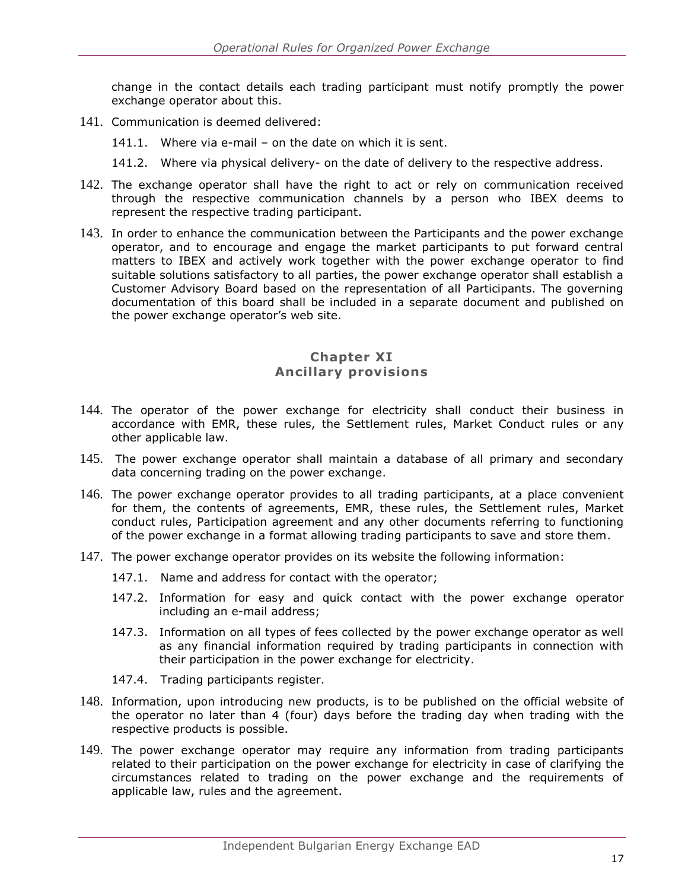change in the contact details each trading participant must notify promptly the power exchange operator about this.

- 141. Communication is deemed delivered:
	- 141.1. Where via e-mail on the date on which it is sent.
	- 141.2. Where via physical delivery- on the date of delivery to the respective address.
- 142. The exchange operator shall have the right to act or rely on communication received through the respective communication channels by a person who IBEX deems to represent the respective trading participant.
- 143. In order to enhance the communication between the Participants and the power exchange operator, and to encourage and engage the market participants to put forward central matters to IBEX and actively work together with the power exchange operator to find suitable solutions satisfactory to all parties, the power exchange operator shall establish a Customer Advisory Board based on the representation of all Participants. The governing documentation of this board shall be included in a separate document and published on the power exchange operator's web site.

#### **Chapter XI Ancillary provisions**

- 144. The operator of the power exchange for electricity shall conduct their business in accordance with EMR, these rules, the Settlement rules, Market Conduct rules or any other applicable law.
- 145. The power exchange operator shall maintain a database of all primary and secondary data concerning trading on the power exchange.
- 146. The power exchange operator provides to all trading participants, at a place convenient for them, the contents of agreements, EMR, these rules, the Settlement rules, Market conduct rules, Participation agreement and any other documents referring to functioning of the power exchange in a format allowing trading participants to save and store them.
- 147. The power exchange operator provides on its website the following information:
	- 147.1. Name and address for contact with the operator;
	- 147.2. Information for easy and quick contact with the power exchange operator including an e-mail address;
	- 147.3. Information on all types of fees collected by the power exchange operator as well as any financial information required by trading participants in connection with their participation in the power exchange for electricity.
	- 147.4. Trading participants register.
- 148. Information, upon introducing new products, is to be published on the official website of the operator no later than 4 (four) days before the trading day when trading with the respective products is possible.
- 149. The power exchange operator may require any information from trading participants related to their participation on the power exchange for electricity in case of clarifying the circumstances related to trading on the power exchange and the requirements of applicable law, rules and the agreement.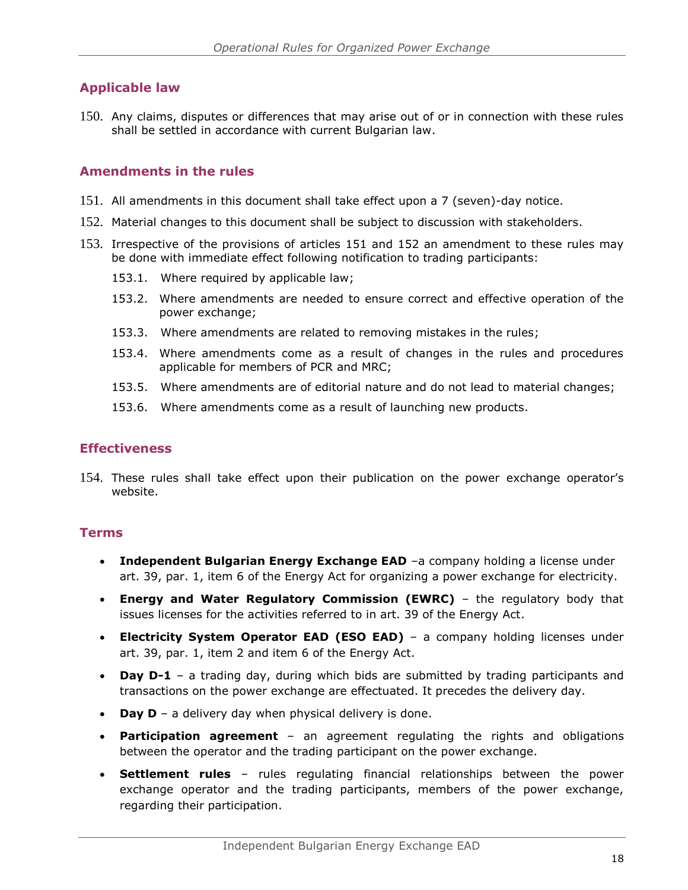# <span id="page-18-0"></span>**Applicable law**

150. Any claims, disputes or differences that may arise out of or in connection with these rules shall be settled in accordance with current Bulgarian law.

#### <span id="page-18-1"></span>**Amendments in the rules**

- 151. All amendments in this document shall take effect upon a 7 (seven)-day notice.
- 152. Material changes to this document shall be subject to discussion with stakeholders.
- 153. Irrespective of the provisions of articles 151 and 152 an amendment to these rules may be done with immediate effect following notification to trading participants:
	- 153.1. Where required by applicable law;
	- 153.2. Where amendments are needed to ensure correct and effective operation of the power exchange;
	- 153.3. Where amendments are related to removing mistakes in the rules;
	- 153.4. Where amendments come as a result of changes in the rules and procedures applicable for members of PCR and MRC;
	- 153.5. Where amendments are of editorial nature and do not lead to material changes;
	- 153.6. Where amendments come as a result of launching new products.

#### <span id="page-18-2"></span>**Effectiveness**

154. These rules shall take effect upon their publication on the power exchange operator's website.

#### <span id="page-18-3"></span>**Terms**

- **Independent Bulgarian Energy Exchange EAD** -a company holding a license under art. 39, par. 1, item 6 of the Energy Act for organizing a power exchange for electricity.
- **Energy and Water Regulatory Commission (EWRC)** the regulatory body that issues licenses for the activities referred to in art. 39 of the Energy Act.
- **Electricity System Operator EAD (ESO EAD)** a company holding licenses under art. 39, par. 1, item 2 and item 6 of the Energy Act.
- **Day D-1** a trading day, during which bids are submitted by trading participants and transactions on the power exchange are effectuated. It precedes the delivery day.
- **Day D** a delivery day when physical delivery is done.
- **Participation agreement**  an agreement regulating the rights and obligations between the operator and the trading participant on the power exchange.
- **Settlement rules** rules regulating financial relationships between the power exchange operator and the trading participants, members of the power exchange, regarding their participation.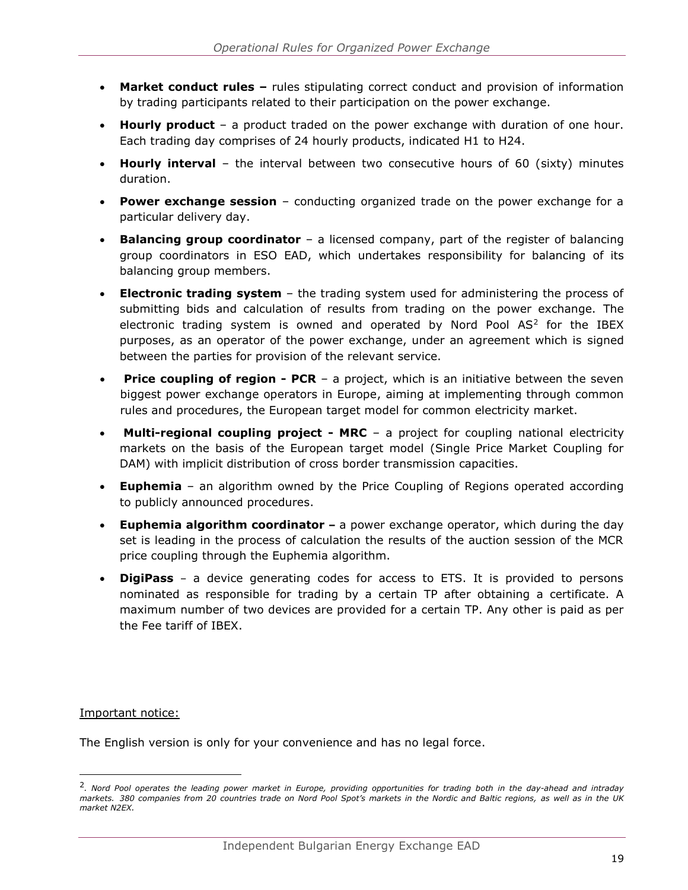- Market conduct rules rules stipulating correct conduct and provision of information by trading participants related to their participation on the power exchange.
- **Hourly product** a product traded on the power exchange with duration of one hour. Each trading day comprises of 24 hourly products, indicated H1 to H24.
- **Hourly interval** the interval between two consecutive hours of 60 (sixty) minutes duration.
- **Power exchange session** conducting organized trade on the power exchange for a particular delivery day.
- **Balancing group coordinator** a licensed company, part of the register of balancing group coordinators in ESO EAD, which undertakes responsibility for balancing of its balancing group members.
- **Electronic trading system** the trading system used for administering the process of submitting bids and calculation of results from trading on the power exchange. The electronic trading system is owned and operated by Nord Pool  $AS<sup>2</sup>$  for the IBEX purposes, as an operator of the power exchange, under an agreement which is signed between the parties for provision of the relevant service.
- **Price coupling of region PCR** a project, which is an initiative between the seven biggest power exchange operators in Europe, aiming at implementing through common rules and procedures, the European target model for common electricity market.
- **Multi-regional coupling project - MRC**  a project for coupling national electricity markets on the basis of the European target model (Single Price Market Coupling for DAM) with implicit distribution of cross border transmission capacities.
- **Euphemia**  an algorithm owned by the Price Coupling of Regions operated according to publicly announced procedures.
- **Euphemia algorithm coordinator –** a power exchange operator, which during the day set is leading in the process of calculation the results of the auction session of the MCR price coupling through the Euphemia algorithm.
- **DigiPass**  a device generating codes for access to ETS. It is provided to persons nominated as responsible for trading by a certain TP after obtaining a certificate. A maximum number of two devices are provided for a certain TP. Any other is paid as per the Fee tariff of IBEX.

Important notice:

ł

The English version is only for your convenience and has no legal force.

<sup>2</sup> *. Nord Pool operates the leading power market in Europe, providing opportunities for trading both in the day-ahead and intraday markets.* 380 companies from 20 countries trade on Nord Pool Spot's markets in the Nordic and Baltic regions, as well as in the UK *market N2EX.*